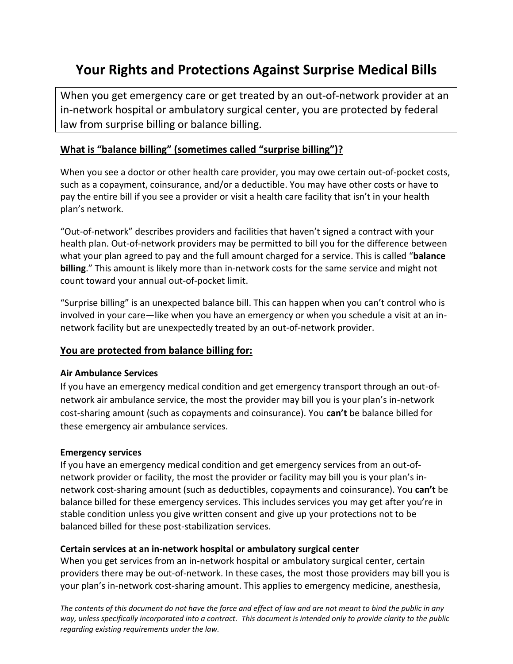# **Your Rights and Protections Against Surprise Medical Bills**

When you get emergency care or get treated by an out-of-network provider at an in-network hospital or ambulatory surgical center, you are protected by federal law from surprise billing or balance billing.

# **What is "balance billing" (sometimes called "surprise billing")?**

When you see a doctor or other health care provider, you may owe certain out-of-pocket costs, such as a copayment, coinsurance, and/or a deductible. You may have other costs or have to pay the entire bill if you see a provider or visit a health care facility that isn't in your health plan's network.

"Out-of-network" describes providers and facilities that haven't signed a contract with your health plan. Out-of-network providers may be permitted to bill you for the difference between what your plan agreed to pay and the full amount charged for a service. This is called "**balance billing**." This amount is likely more than in-network costs for the same service and might not count toward your annual out-of-pocket limit.

"Surprise billing" is an unexpected balance bill. This can happen when you can't control who is involved in your care—like when you have an emergency or when you schedule a visit at an innetwork facility but are unexpectedly treated by an out-of-network provider.

## **You are protected from balance billing for:**

## **Air Ambulance Services**

If you have an emergency medical condition and get emergency transport through an out-ofnetwork air ambulance service, the most the provider may bill you is your plan's in-network cost-sharing amount (such as copayments and coinsurance). You **can't** be balance billed for these emergency air ambulance services.

#### **Emergency services**

If you have an emergency medical condition and get emergency services from an out-ofnetwork provider or facility, the most the provider or facility may bill you is your plan's innetwork cost-sharing amount (such as deductibles, copayments and coinsurance). You **can't** be balance billed for these emergency services. This includes services you may get after you're in stable condition unless you give written consent and give up your protections not to be balanced billed for these post-stabilization services.

## **Certain services at an in-network hospital or ambulatory surgical center**

When you get services from an in-network hospital or ambulatory surgical center, certain providers there may be out-of-network. In these cases, the most those providers may bill you is your plan's in-network cost-sharing amount. This applies to emergency medicine, anesthesia,

*The contents of this document do not have the force and effect of law and are not meant to bind the public in any way, unless specifically incorporated into a contract. This document is intended only to provide clarity to the public regarding existing requirements under the law.*